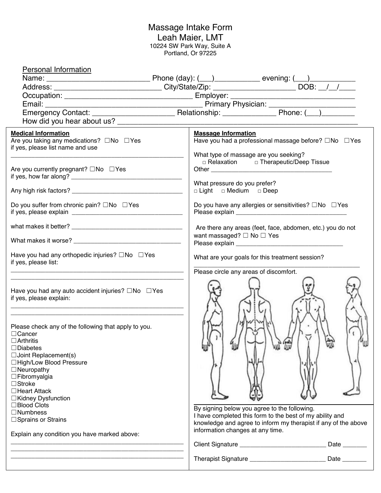#### Massage Intake Form Leah Maier, LMT 10224 SW Park Way, Suite A Portland, Or 97225

| <b>Personal Information</b>                                                  |                                                                                                          |
|------------------------------------------------------------------------------|----------------------------------------------------------------------------------------------------------|
|                                                                              |                                                                                                          |
|                                                                              |                                                                                                          |
|                                                                              | <u> 2002 - Jan James James Barbara, president populari (</u>                                             |
|                                                                              |                                                                                                          |
|                                                                              |                                                                                                          |
|                                                                              |                                                                                                          |
|                                                                              |                                                                                                          |
| <b>Medical Information</b>                                                   | <b>Massage Information</b>                                                                               |
| Are you taking any medications? □No □Yes<br>if yes, please list name and use | Have you had a professional massage before? □No □Yes                                                     |
|                                                                              | What type of massage are you seeking?                                                                    |
|                                                                              | □ Relaxation □ Therapeutic/Deep Tissue                                                                   |
| Are you currently pregnant? $\square$ No $\square$ Yes                       |                                                                                                          |
|                                                                              |                                                                                                          |
|                                                                              | What pressure do you prefer?                                                                             |
|                                                                              | □ Light □ Medium □ Deep                                                                                  |
|                                                                              |                                                                                                          |
| Do you suffer from chronic pain? $\square$ No $\square$ Yes                  | Do you have any allergies or sensitivities? $\square$ No $\square$ Yes                                   |
|                                                                              |                                                                                                          |
|                                                                              | Are there any areas (feet, face, abdomen, etc.) you do not                                               |
|                                                                              | want massaged? $\Box$ No $\Box$ Yes                                                                      |
|                                                                              |                                                                                                          |
|                                                                              |                                                                                                          |
| Have you had any orthopedic injuries? $\square$ No $\square$ Yes             | What are your goals for this treatment session?                                                          |
| if yes, please list:                                                         |                                                                                                          |
|                                                                              | Please circle any areas of discomfort.                                                                   |
|                                                                              |                                                                                                          |
| Have you had any auto accident injuries? $\square$ No $\square$ Yes          |                                                                                                          |
| if yes, please explain:                                                      |                                                                                                          |
|                                                                              |                                                                                                          |
|                                                                              |                                                                                                          |
| Please check any of the following that apply to you.                         |                                                                                                          |
| $\Box$ Cancer                                                                |                                                                                                          |
| $\Box$ Arthritis                                                             |                                                                                                          |
| $\Box$ Diabetes                                                              | UW                                                                                                       |
| $\Box$ Joint Replacement(s)                                                  |                                                                                                          |
| □High/Low Blood Pressure                                                     |                                                                                                          |
| $\Box$ Neuropathy                                                            |                                                                                                          |
| $\Box$ Fibromyalgia<br>$\Box$ Stroke                                         |                                                                                                          |
| $\Box$ Heart Attack                                                          |                                                                                                          |
| □Kidney Dysfunction                                                          |                                                                                                          |
| □Blood Clots                                                                 |                                                                                                          |
| $\Box$ Numbness                                                              | By signing below you agree to the following.<br>I have completed this form to the best of my ability and |
| □ Sprains or Strains                                                         | knowledge and agree to inform my therapist if any of the above                                           |
|                                                                              | information changes at any time.                                                                         |
| Explain any condition you have marked above:                                 |                                                                                                          |
|                                                                              | Client Signature _________________________________ Date ________                                         |
|                                                                              |                                                                                                          |
|                                                                              | Therapist Signature ______________________________ Date ________                                         |
|                                                                              |                                                                                                          |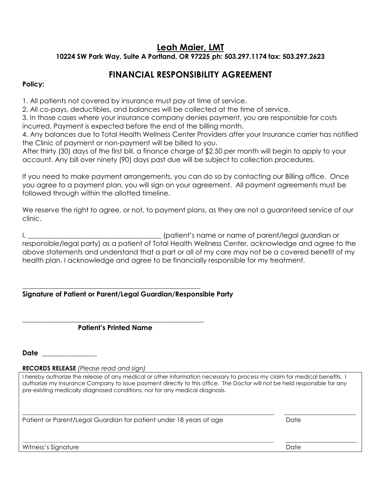## **Leah Maier, LMT**

**10224 SW Park Way, Suite A Portland, OR 97225 ph: 503.297.1174 fax: 503.297.2623**

## **FINANCIAL RESPONSIBILITY AGREEMENT**

### **Policy:**

1. All patients not covered by insurance must pay at time of service.

2. All co-pays, deductibles, and balances will be collected at the time of service.

3. In those cases where your insurance company denies payment, you are responsible for costs incurred. Payment is expected before the end of the billing month.

4. Any balances due to Total Health Wellness Center Providers after your Insurance carrier has notified the Clinic of payment or non-payment will be billed to you.

After thirty (30) days of the first bill, a finance charge of \$2.50 per month will begin to apply to your account. Any bill over ninety (90) days past due will be subject to collection procedures.

If you need to make payment arrangements, you can do so by contacting our Billing office. Once you agree to a payment plan, you will sign on your agreement. All payment agreements must be followed through within the allotted timeline.

We reserve the right to agree, or not, to payment plans, as they are not a guaranteed service of our clinic.

I, \_\_\_\_\_\_\_\_\_\_\_\_\_\_\_\_\_\_\_\_\_\_\_\_\_\_\_\_\_\_\_\_\_\_\_\_\_\_\_ (patient's name or name of parent/legal guardian or responsible/legal party) as a patient of Total Health Wellness Center, acknowledge and agree to the above statements and understand that a part or all of my care may not be a covered benefit of my health plan. I acknowledge and agree to be financially responsible for my treatment.

#### \_\_\_\_\_\_\_\_\_\_\_\_\_\_\_\_\_\_\_\_\_\_\_\_\_\_\_\_\_\_\_\_\_\_\_\_\_\_\_\_\_\_\_\_\_\_\_\_\_\_\_\_ **Signature of Patient or Parent/Legal Guardian/Responsible Party**

#### \_\_\_\_\_\_\_\_\_\_\_\_\_\_\_\_\_\_\_\_\_\_\_\_\_\_\_\_\_\_\_\_\_\_\_\_\_\_\_\_\_\_\_\_\_\_\_\_\_\_\_\_\_  **Patient's Printed Name**

**Date** \_\_\_\_\_\_\_\_\_\_\_\_\_\_\_\_

**RECORDS RELEASE** *(Please read and sign)*

I hereby authorize the release of any medical or other information necessary to process my claim for medical benefits. I authorize my Insurance Company to issue payment directly to this office. The Doctor will not be held responsible for any pre-existing medically diagnosed conditions, nor for any medical diagnosis.

\_\_\_\_\_\_\_\_\_\_\_\_\_\_\_\_\_\_\_\_\_\_\_\_\_\_\_\_\_\_\_\_\_\_\_\_\_\_\_\_\_\_\_\_\_\_\_\_\_\_\_\_\_\_\_\_\_\_\_\_\_\_\_\_\_\_\_\_\_\_\_\_\_\_\_\_\_\_\_\_\_ \_\_\_\_\_\_\_\_\_\_\_\_\_\_\_\_\_\_\_\_\_\_\_ Patient or Parent/Legal Guardian for patient under 18 years of age Date Date

 $\Box$ Witness's Signature Date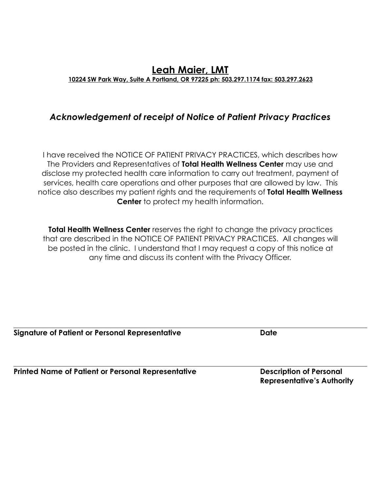## **Leah Maier, LMT 10224 SW Park Way, Suite A Portland, OR 97225 ph: 503.297.1174 fax: 503.297.2623**

## *Acknowledgement of receipt of Notice of Patient Privacy Practices*

I have received the NOTICE OF PATIENT PRIVACY PRACTICES, which describes how The Providers and Representatives of **Total Health Wellness Center** may use and disclose my protected health care information to carry out treatment, payment of services, health care operations and other purposes that are allowed by law. This notice also describes my patient rights and the requirements of **Total Health Wellness Center** to protect my health information.

**Total Health Wellness Center** reserves the right to change the privacy practices that are described in the NOTICE OF PATIENT PRIVACY PRACTICES. All changes will be posted in the clinic. I understand that I may request a copy of this notice at any time and discuss its content with the Privacy Officer.

**Signature of Patient or Personal Representative and Date in American Contract Date** 

**Printed Name of Patient or Personal Representative Description of Personal** *Personal* 

 **Representative's Authority**